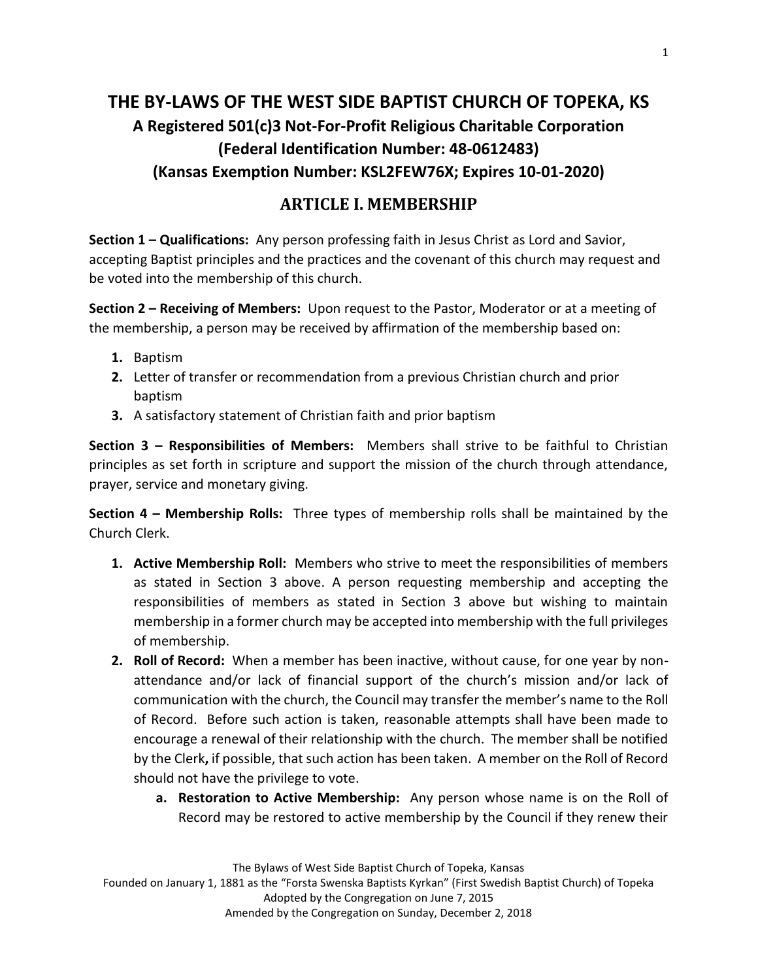# **THE BY-LAWS OF THE WEST SIDE BAPTIST CHURCH OF TOPEKA, KS A Registered 501(c)3 Not-For-Profit Religious Charitable Corporation (Federal Identification Number: 48-0612483) (Kansas Exemption Number: KSL2FEW76X; Expires 10-01-2020)**

## **ARTICLE I. MEMBERSHIP**

**Section 1 – Qualifications:** Any person professing faith in Jesus Christ as Lord and Savior, accepting Baptist principles and the practices and the covenant of this church may request and be voted into the membership of this church.

**Section 2 – Receiving of Members:** Upon request to the Pastor, Moderator or at a meeting of the membership, a person may be received by affirmation of the membership based on:

- **1.** Baptism
- **2.** Letter of transfer or recommendation from a previous Christian church and prior baptism
- **3.** A satisfactory statement of Christian faith and prior baptism

**Section 3 – Responsibilities of Members:** Members shall strive to be faithful to Christian principles as set forth in scripture and support the mission of the church through attendance, prayer, service and monetary giving.

**Section 4 – Membership Rolls:** Three types of membership rolls shall be maintained by the Church Clerk.

- **1. Active Membership Roll:** Members who strive to meet the responsibilities of members as stated in Section 3 above. A person requesting membership and accepting the responsibilities of members as stated in Section 3 above but wishing to maintain membership in a former church may be accepted into membership with the full privileges of membership.
- **2. Roll of Record:** When a member has been inactive, without cause, for one year by nonattendance and/or lack of financial support of the church's mission and/or lack of communication with the church, the Council may transfer the member's name to the Roll of Record. Before such action is taken, reasonable attempts shall have been made to encourage a renewal of their relationship with the church. The member shall be notified by the Clerk**,** if possible, that such action has been taken. A member on the Roll of Record should not have the privilege to vote.
	- **a. Restoration to Active Membership:** Any person whose name is on the Roll of Record may be restored to active membership by the Council if they renew their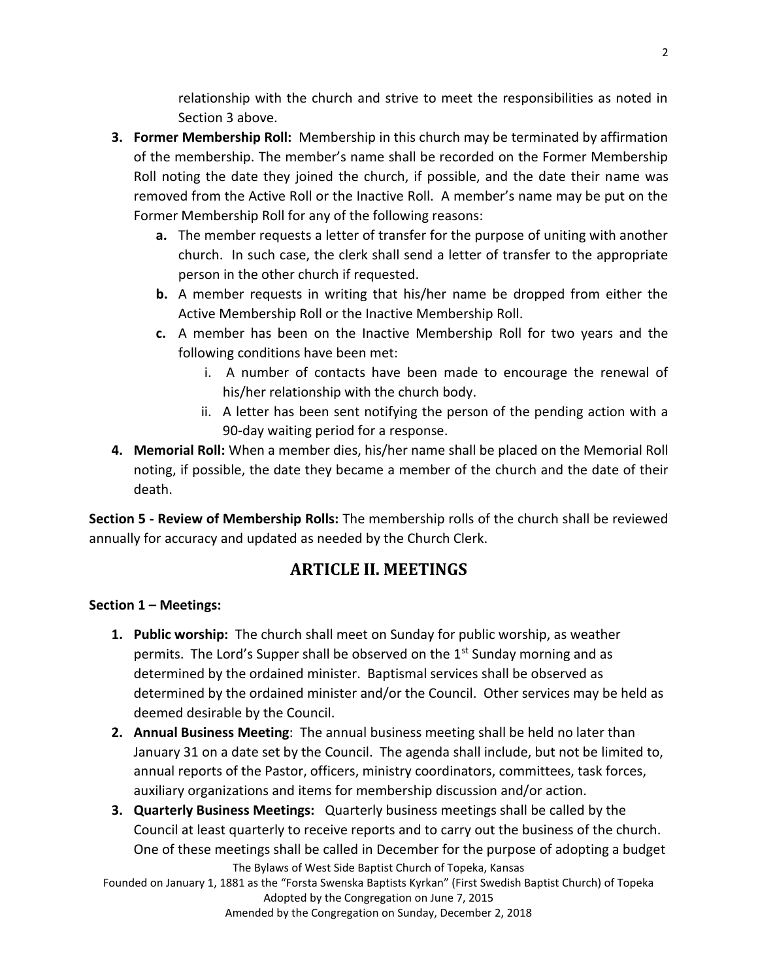relationship with the church and strive to meet the responsibilities as noted in Section 3 above.

- **3. Former Membership Roll:** Membership in this church may be terminated by affirmation of the membership. The member's name shall be recorded on the Former Membership Roll noting the date they joined the church, if possible, and the date their name was removed from the Active Roll or the Inactive Roll. A member's name may be put on the Former Membership Roll for any of the following reasons:
	- **a.** The member requests a letter of transfer for the purpose of uniting with another church. In such case, the clerk shall send a letter of transfer to the appropriate person in the other church if requested.
	- **b.** A member requests in writing that his/her name be dropped from either the Active Membership Roll or the Inactive Membership Roll.
	- **c.** A member has been on the Inactive Membership Roll for two years and the following conditions have been met:
		- i. A number of contacts have been made to encourage the renewal of his/her relationship with the church body.
		- ii. A letter has been sent notifying the person of the pending action with a 90-day waiting period for a response.
- **4. Memorial Roll:** When a member dies, his/her name shall be placed on the Memorial Roll noting, if possible, the date they became a member of the church and the date of their death.

**Section 5 - Review of Membership Rolls:** The membership rolls of the church shall be reviewed annually for accuracy and updated as needed by the Church Clerk.

## **ARTICLE II. MEETINGS**

### **Section 1 – Meetings:**

- **1. Public worship:** The church shall meet on Sunday for public worship, as weather permits. The Lord's Supper shall be observed on the  $1<sup>st</sup>$  Sunday morning and as determined by the ordained minister. Baptismal services shall be observed as determined by the ordained minister and/or the Council. Other services may be held as deemed desirable by the Council.
- **2. Annual Business Meeting**: The annual business meeting shall be held no later than January 31 on a date set by the Council. The agenda shall include, but not be limited to, annual reports of the Pastor, officers, ministry coordinators, committees, task forces, auxiliary organizations and items for membership discussion and/or action.
- The Bylaws of West Side Baptist Church of Topeka, Kansas **3. Quarterly Business Meetings:** Quarterly business meetings shall be called by the Council at least quarterly to receive reports and to carry out the business of the church. One of these meetings shall be called in December for the purpose of adopting a budget

Founded on January 1, 1881 as the "Forsta Swenska Baptists Kyrkan" (First Swedish Baptist Church) of Topeka Adopted by the Congregation on June 7, 2015

Amended by the Congregation on Sunday, December 2, 2018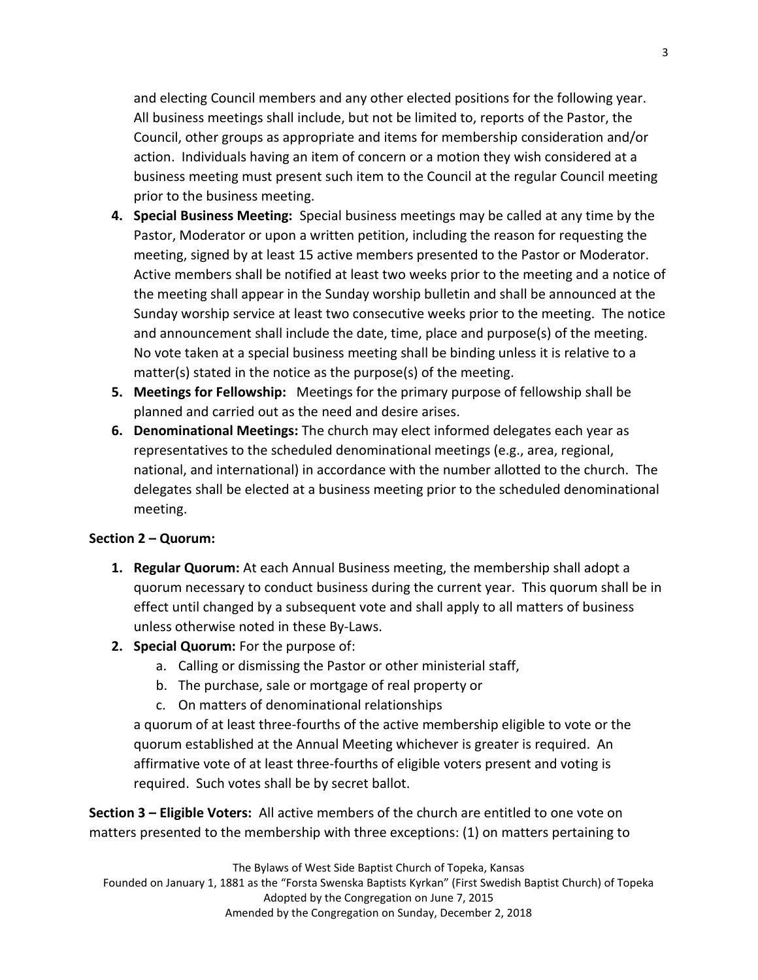and electing Council members and any other elected positions for the following year. All business meetings shall include, but not be limited to, reports of the Pastor, the Council, other groups as appropriate and items for membership consideration and/or action. Individuals having an item of concern or a motion they wish considered at a business meeting must present such item to the Council at the regular Council meeting prior to the business meeting.

- **4. Special Business Meeting:** Special business meetings may be called at any time by the Pastor, Moderator or upon a written petition, including the reason for requesting the meeting, signed by at least 15 active members presented to the Pastor or Moderator. Active members shall be notified at least two weeks prior to the meeting and a notice of the meeting shall appear in the Sunday worship bulletin and shall be announced at the Sunday worship service at least two consecutive weeks prior to the meeting. The notice and announcement shall include the date, time, place and purpose(s) of the meeting. No vote taken at a special business meeting shall be binding unless it is relative to a matter(s) stated in the notice as the purpose(s) of the meeting.
- **5. Meetings for Fellowship:** Meetings for the primary purpose of fellowship shall be planned and carried out as the need and desire arises.
- **6. Denominational Meetings:** The church may elect informed delegates each year as representatives to the scheduled denominational meetings (e.g., area, regional, national, and international) in accordance with the number allotted to the church. The delegates shall be elected at a business meeting prior to the scheduled denominational meeting.

#### **Section 2 – Quorum:**

- **1. Regular Quorum:** At each Annual Business meeting, the membership shall adopt a quorum necessary to conduct business during the current year. This quorum shall be in effect until changed by a subsequent vote and shall apply to all matters of business unless otherwise noted in these By-Laws.
- **2. Special Quorum:** For the purpose of:
	- a. Calling or dismissing the Pastor or other ministerial staff,
	- b. The purchase, sale or mortgage of real property or
	- c. On matters of denominational relationships

a quorum of at least three-fourths of the active membership eligible to vote or the quorum established at the Annual Meeting whichever is greater is required. An affirmative vote of at least three-fourths of eligible voters present and voting is required. Such votes shall be by secret ballot.

**Section 3 – Eligible Voters:** All active members of the church are entitled to one vote on matters presented to the membership with three exceptions: (1) on matters pertaining to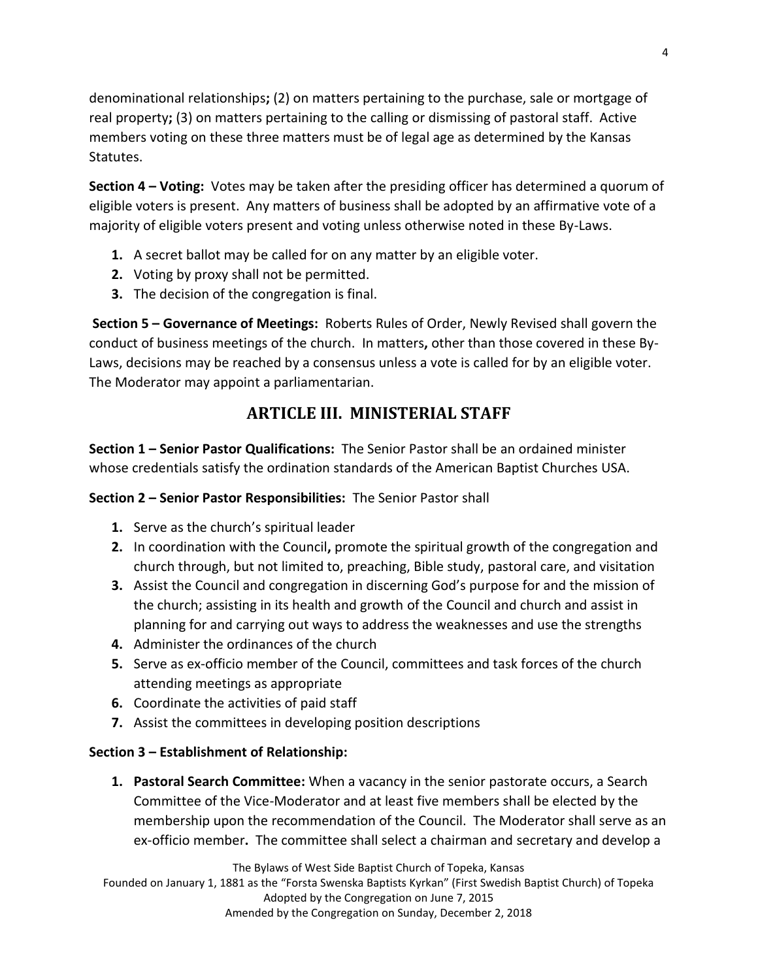denominational relationships**;** (2) on matters pertaining to the purchase, sale or mortgage of real property**;** (3) on matters pertaining to the calling or dismissing of pastoral staff. Active members voting on these three matters must be of legal age as determined by the Kansas Statutes.

**Section 4 – Voting:** Votes may be taken after the presiding officer has determined a quorum of eligible voters is present. Any matters of business shall be adopted by an affirmative vote of a majority of eligible voters present and voting unless otherwise noted in these By-Laws.

- **1.** A secret ballot may be called for on any matter by an eligible voter.
- **2.** Voting by proxy shall not be permitted.
- **3.** The decision of the congregation is final.

**Section 5 – Governance of Meetings:** Roberts Rules of Order, Newly Revised shall govern the conduct of business meetings of the church. In matters**,** other than those covered in these By-Laws, decisions may be reached by a consensus unless a vote is called for by an eligible voter. The Moderator may appoint a parliamentarian.

# **ARTICLE III. MINISTERIAL STAFF**

**Section 1 – Senior Pastor Qualifications:** The Senior Pastor shall be an ordained minister whose credentials satisfy the ordination standards of the American Baptist Churches USA.

### **Section 2 – Senior Pastor Responsibilities:** The Senior Pastor shall

- **1.** Serve as the church's spiritual leader
- **2.** In coordination with the Council**,** promote the spiritual growth of the congregation and church through, but not limited to, preaching, Bible study, pastoral care, and visitation
- **3.** Assist the Council and congregation in discerning God's purpose for and the mission of the church; assisting in its health and growth of the Council and church and assist in planning for and carrying out ways to address the weaknesses and use the strengths
- **4.** Administer the ordinances of the church
- **5.** Serve as ex-officio member of the Council, committees and task forces of the church attending meetings as appropriate
- **6.** Coordinate the activities of paid staff
- **7.** Assist the committees in developing position descriptions

### **Section 3 – Establishment of Relationship:**

**1. Pastoral Search Committee:** When a vacancy in the senior pastorate occurs, a Search Committee of the Vice-Moderator and at least five members shall be elected by the membership upon the recommendation of the Council. The Moderator shall serve as an ex-officio member**.** The committee shall select a chairman and secretary and develop a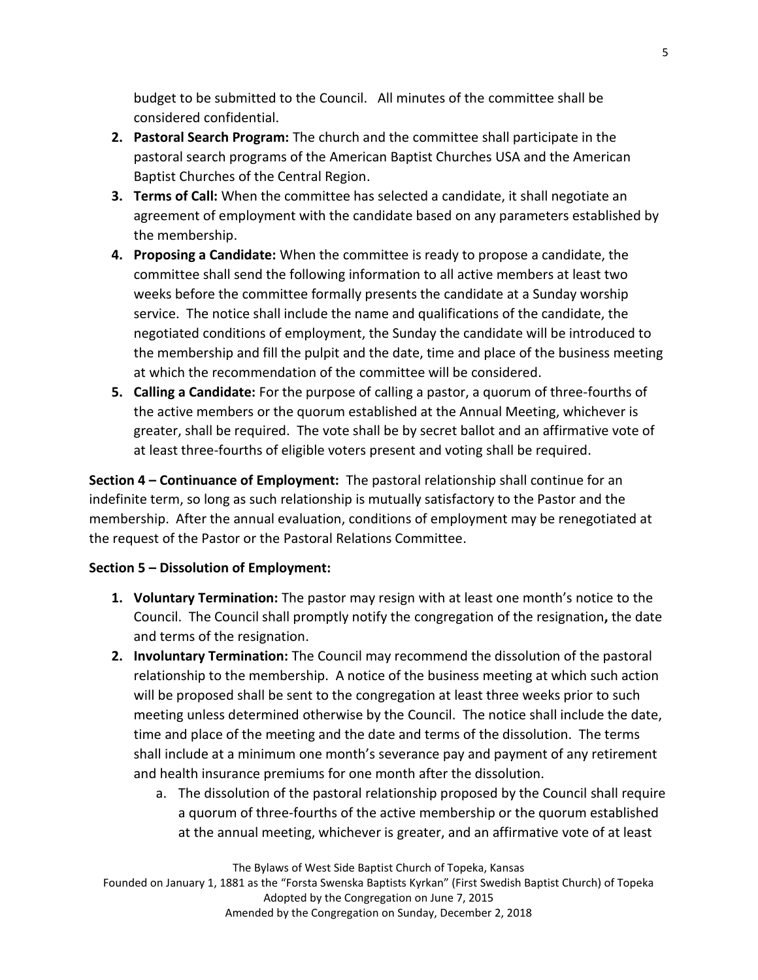budget to be submitted to the Council. All minutes of the committee shall be considered confidential.

- **2. Pastoral Search Program:** The church and the committee shall participate in the pastoral search programs of the American Baptist Churches USA and the American Baptist Churches of the Central Region.
- **3. Terms of Call:** When the committee has selected a candidate, it shall negotiate an agreement of employment with the candidate based on any parameters established by the membership.
- **4. Proposing a Candidate:** When the committee is ready to propose a candidate, the committee shall send the following information to all active members at least two weeks before the committee formally presents the candidate at a Sunday worship service. The notice shall include the name and qualifications of the candidate, the negotiated conditions of employment, the Sunday the candidate will be introduced to the membership and fill the pulpit and the date, time and place of the business meeting at which the recommendation of the committee will be considered.
- **5. Calling a Candidate:** For the purpose of calling a pastor, a quorum of three-fourths of the active members or the quorum established at the Annual Meeting, whichever is greater, shall be required. The vote shall be by secret ballot and an affirmative vote of at least three-fourths of eligible voters present and voting shall be required.

**Section 4 – Continuance of Employment:** The pastoral relationship shall continue for an indefinite term, so long as such relationship is mutually satisfactory to the Pastor and the membership. After the annual evaluation, conditions of employment may be renegotiated at the request of the Pastor or the Pastoral Relations Committee.

#### **Section 5 – Dissolution of Employment:**

- **1. Voluntary Termination:** The pastor may resign with at least one month's notice to the Council. The Council shall promptly notify the congregation of the resignation**,** the date and terms of the resignation.
- **2. Involuntary Termination:** The Council may recommend the dissolution of the pastoral relationship to the membership. A notice of the business meeting at which such action will be proposed shall be sent to the congregation at least three weeks prior to such meeting unless determined otherwise by the Council. The notice shall include the date, time and place of the meeting and the date and terms of the dissolution. The terms shall include at a minimum one month's severance pay and payment of any retirement and health insurance premiums for one month after the dissolution.
	- a. The dissolution of the pastoral relationship proposed by the Council shall require a quorum of three-fourths of the active membership or the quorum established at the annual meeting, whichever is greater, and an affirmative vote of at least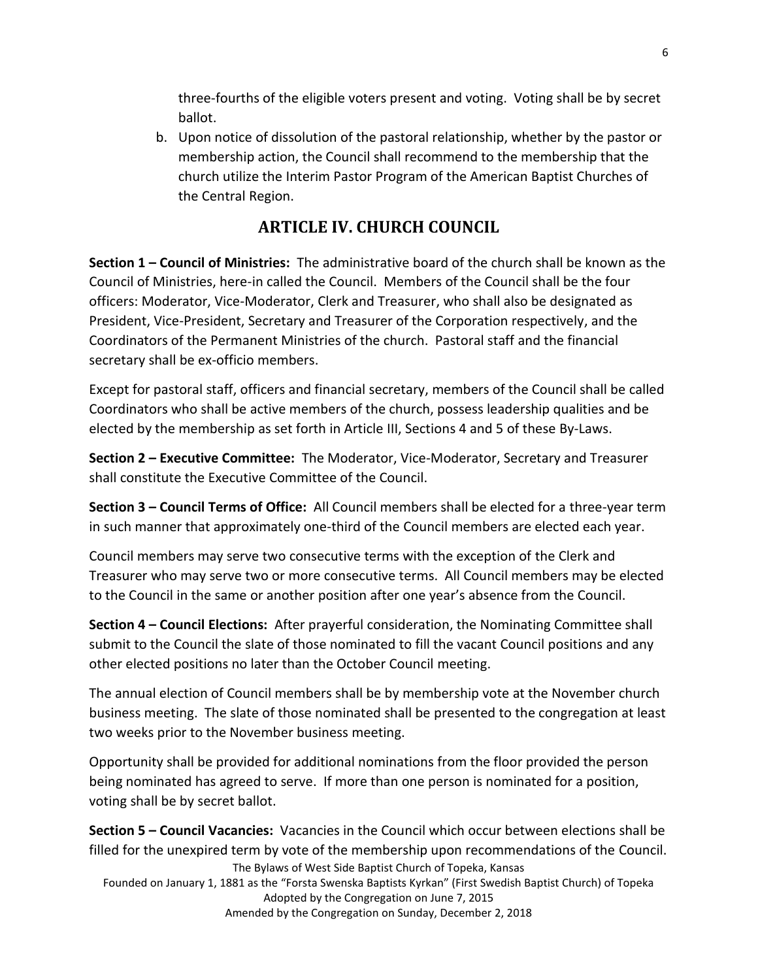three-fourths of the eligible voters present and voting. Voting shall be by secret ballot.

b. Upon notice of dissolution of the pastoral relationship, whether by the pastor or membership action, the Council shall recommend to the membership that the church utilize the Interim Pastor Program of the American Baptist Churches of the Central Region.

# **ARTICLE IV. CHURCH COUNCIL**

**Section 1 – Council of Ministries:** The administrative board of the church shall be known as the Council of Ministries, here-in called the Council. Members of the Council shall be the four officers: Moderator, Vice-Moderator, Clerk and Treasurer, who shall also be designated as President, Vice-President, Secretary and Treasurer of the Corporation respectively, and the Coordinators of the Permanent Ministries of the church. Pastoral staff and the financial secretary shall be ex-officio members.

Except for pastoral staff, officers and financial secretary, members of the Council shall be called Coordinators who shall be active members of the church, possess leadership qualities and be elected by the membership as set forth in Article III, Sections 4 and 5 of these By-Laws.

**Section 2 – Executive Committee:** The Moderator, Vice-Moderator, Secretary and Treasurer shall constitute the Executive Committee of the Council.

**Section 3 – Council Terms of Office:** All Council members shall be elected for a three-year term in such manner that approximately one-third of the Council members are elected each year.

Council members may serve two consecutive terms with the exception of the Clerk and Treasurer who may serve two or more consecutive terms. All Council members may be elected to the Council in the same or another position after one year's absence from the Council.

**Section 4 – Council Elections:** After prayerful consideration, the Nominating Committee shall submit to the Council the slate of those nominated to fill the vacant Council positions and any other elected positions no later than the October Council meeting.

The annual election of Council members shall be by membership vote at the November church business meeting. The slate of those nominated shall be presented to the congregation at least two weeks prior to the November business meeting.

Opportunity shall be provided for additional nominations from the floor provided the person being nominated has agreed to serve. If more than one person is nominated for a position, voting shall be by secret ballot.

The Bylaws of West Side Baptist Church of Topeka, Kansas Founded on January 1, 1881 as the "Forsta Swenska Baptists Kyrkan" (First Swedish Baptist Church) of Topeka Adopted by the Congregation on June 7, 2015 Amended by the Congregation on Sunday, December 2, 2018 **Section 5 – Council Vacancies:** Vacancies in the Council which occur between elections shall be filled for the unexpired term by vote of the membership upon recommendations of the Council.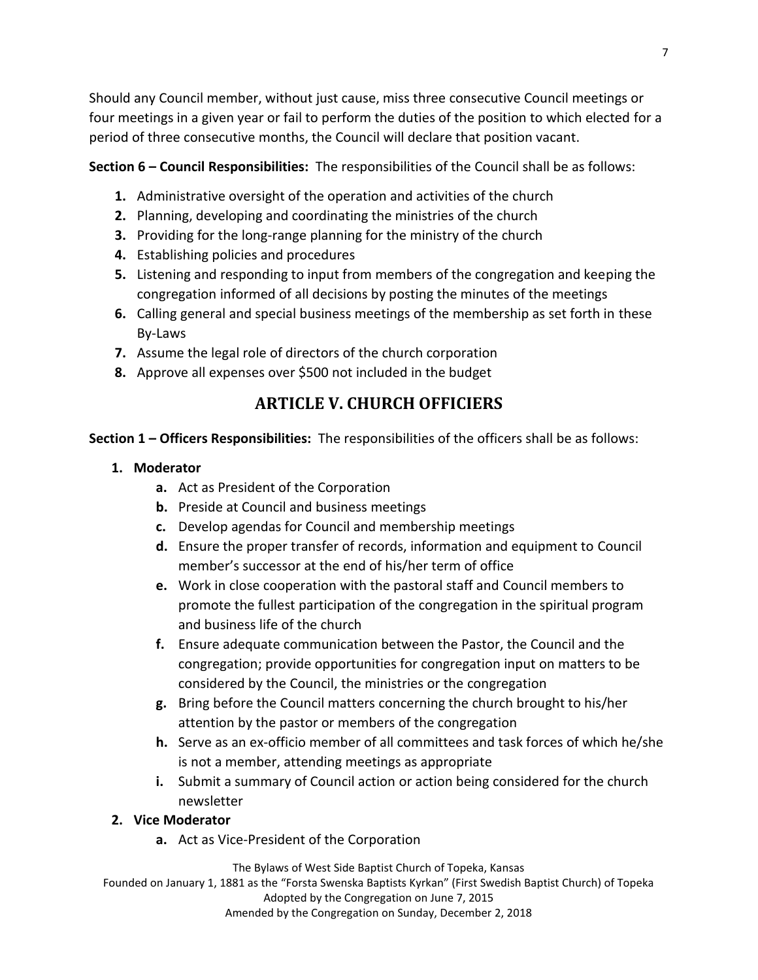Should any Council member, without just cause, miss three consecutive Council meetings or four meetings in a given year or fail to perform the duties of the position to which elected for a period of three consecutive months, the Council will declare that position vacant.

**Section 6 – Council Responsibilities:** The responsibilities of the Council shall be as follows:

- **1.** Administrative oversight of the operation and activities of the church
- **2.** Planning, developing and coordinating the ministries of the church
- **3.** Providing for the long-range planning for the ministry of the church
- **4.** Establishing policies and procedures
- **5.** Listening and responding to input from members of the congregation and keeping the congregation informed of all decisions by posting the minutes of the meetings
- **6.** Calling general and special business meetings of the membership as set forth in these By-Laws
- **7.** Assume the legal role of directors of the church corporation
- **8.** Approve all expenses over \$500 not included in the budget

# **ARTICLE V. CHURCH OFFICIERS**

**Section 1 – Officers Responsibilities:** The responsibilities of the officers shall be as follows:

- **1. Moderator**
	- **a.** Act as President of the Corporation
	- **b.** Preside at Council and business meetings
	- **c.** Develop agendas for Council and membership meetings
	- **d.** Ensure the proper transfer of records, information and equipment to Council member's successor at the end of his/her term of office
	- **e.** Work in close cooperation with the pastoral staff and Council members to promote the fullest participation of the congregation in the spiritual program and business life of the church
	- **f.** Ensure adequate communication between the Pastor, the Council and the congregation; provide opportunities for congregation input on matters to be considered by the Council, the ministries or the congregation
	- **g.** Bring before the Council matters concerning the church brought to his/her attention by the pastor or members of the congregation
	- **h.** Serve as an ex-officio member of all committees and task forces of which he/she is not a member, attending meetings as appropriate
	- **i.** Submit a summary of Council action or action being considered for the church newsletter
- **2. Vice Moderator**
	- **a.** Act as Vice-President of the Corporation

The Bylaws of West Side Baptist Church of Topeka, Kansas

Founded on January 1, 1881 as the "Forsta Swenska Baptists Kyrkan" (First Swedish Baptist Church) of Topeka Adopted by the Congregation on June 7, 2015 Amended by the Congregation on Sunday, December 2, 2018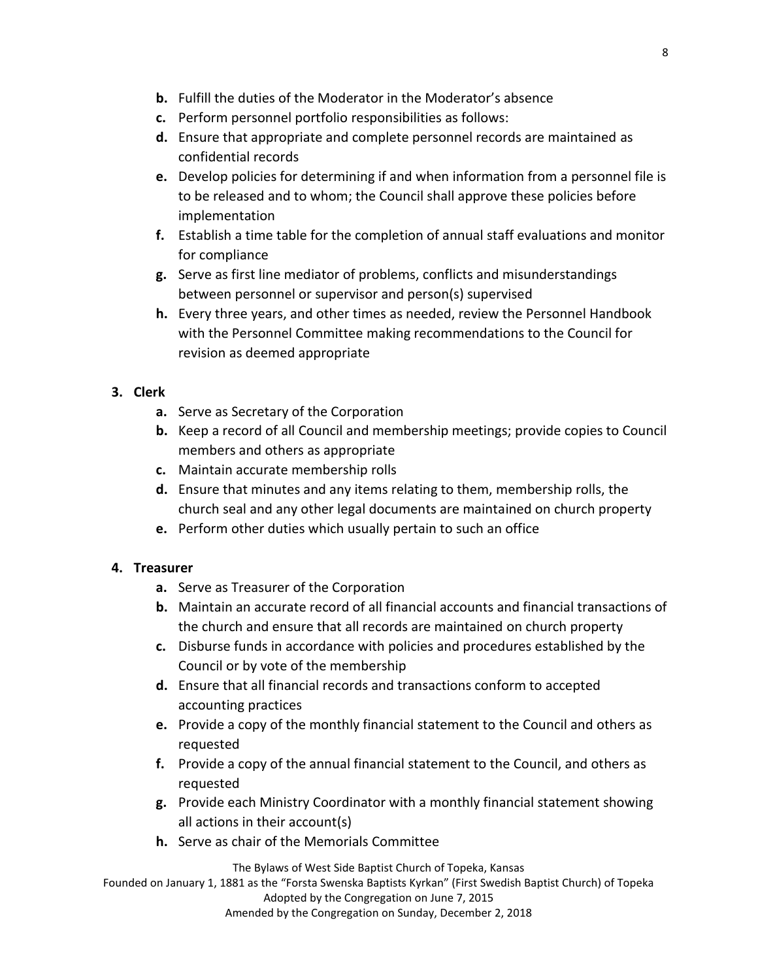- **b.** Fulfill the duties of the Moderator in the Moderator's absence
- **c.** Perform personnel portfolio responsibilities as follows:
- **d.** Ensure that appropriate and complete personnel records are maintained as confidential records
- **e.** Develop policies for determining if and when information from a personnel file is to be released and to whom; the Council shall approve these policies before implementation
- **f.** Establish a time table for the completion of annual staff evaluations and monitor for compliance
- **g.** Serve as first line mediator of problems, conflicts and misunderstandings between personnel or supervisor and person(s) supervised
- **h.** Every three years, and other times as needed, review the Personnel Handbook with the Personnel Committee making recommendations to the Council for revision as deemed appropriate

### **3. Clerk**

- **a.** Serve as Secretary of the Corporation
- **b.** Keep a record of all Council and membership meetings; provide copies to Council members and others as appropriate
- **c.** Maintain accurate membership rolls
- **d.** Ensure that minutes and any items relating to them, membership rolls, the church seal and any other legal documents are maintained on church property
- **e.** Perform other duties which usually pertain to such an office

### **4. Treasurer**

- **a.** Serve as Treasurer of the Corporation
- **b.** Maintain an accurate record of all financial accounts and financial transactions of the church and ensure that all records are maintained on church property
- **c.** Disburse funds in accordance with policies and procedures established by the Council or by vote of the membership
- **d.** Ensure that all financial records and transactions conform to accepted accounting practices
- **e.** Provide a copy of the monthly financial statement to the Council and others as requested
- **f.** Provide a copy of the annual financial statement to the Council, and others as requested
- **g.** Provide each Ministry Coordinator with a monthly financial statement showing all actions in their account(s)
- **h.** Serve as chair of the Memorials Committee

The Bylaws of West Side Baptist Church of Topeka, Kansas

Founded on January 1, 1881 as the "Forsta Swenska Baptists Kyrkan" (First Swedish Baptist Church) of Topeka Adopted by the Congregation on June 7, 2015

Amended by the Congregation on Sunday, December 2, 2018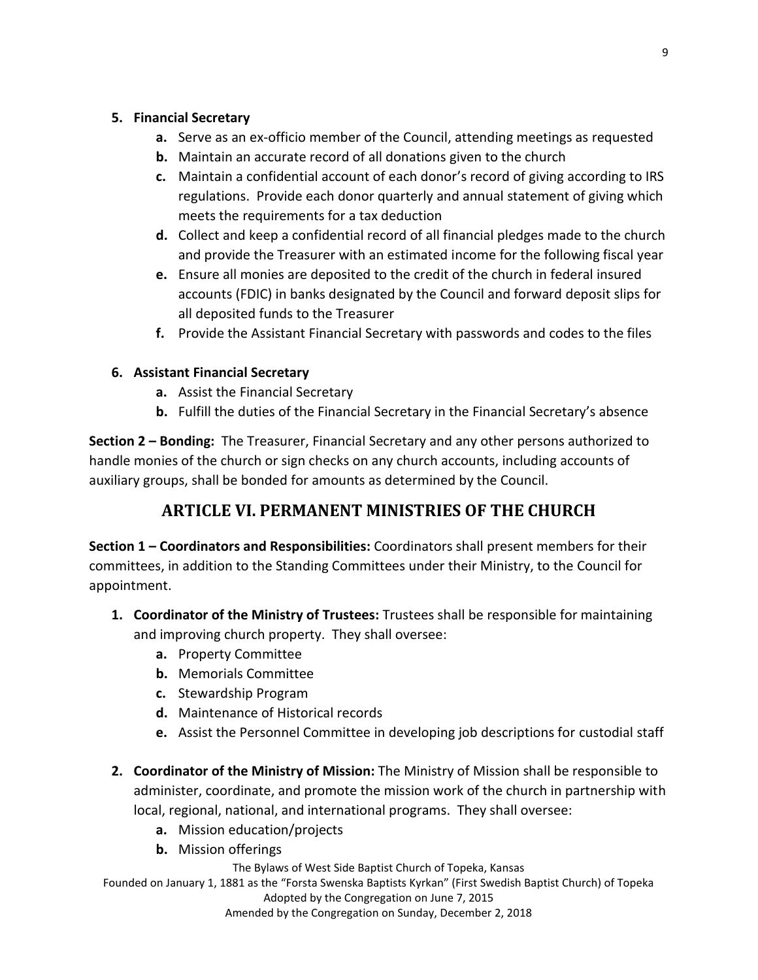#### **5. Financial Secretary**

- **a.** Serve as an ex-officio member of the Council, attending meetings as requested
- **b.** Maintain an accurate record of all donations given to the church
- **c.** Maintain a confidential account of each donor's record of giving according to IRS regulations. Provide each donor quarterly and annual statement of giving which meets the requirements for a tax deduction
- **d.** Collect and keep a confidential record of all financial pledges made to the church and provide the Treasurer with an estimated income for the following fiscal year
- **e.** Ensure all monies are deposited to the credit of the church in federal insured accounts (FDIC) in banks designated by the Council and forward deposit slips for all deposited funds to the Treasurer
- **f.** Provide the Assistant Financial Secretary with passwords and codes to the files

### **6. Assistant Financial Secretary**

- **a.** Assist the Financial Secretary
- **b.** Fulfill the duties of the Financial Secretary in the Financial Secretary's absence

**Section 2 – Bonding:** The Treasurer, Financial Secretary and any other persons authorized to handle monies of the church or sign checks on any church accounts, including accounts of auxiliary groups, shall be bonded for amounts as determined by the Council.

## **ARTICLE VI. PERMANENT MINISTRIES OF THE CHURCH**

**Section 1 – Coordinators and Responsibilities:** Coordinators shall present members for their committees, in addition to the Standing Committees under their Ministry, to the Council for appointment.

- **1. Coordinator of the Ministry of Trustees:** Trustees shall be responsible for maintaining and improving church property. They shall oversee:
	- **a.** Property Committee
	- **b.** Memorials Committee
	- **c.** Stewardship Program
	- **d.** Maintenance of Historical records
	- **e.** Assist the Personnel Committee in developing job descriptions for custodial staff
- **2. Coordinator of the Ministry of Mission:** The Ministry of Mission shall be responsible to administer, coordinate, and promote the mission work of the church in partnership with local, regional, national, and international programs. They shall oversee:
	- **a.** Mission education/projects
	- **b.** Mission offerings

The Bylaws of West Side Baptist Church of Topeka, Kansas

Founded on January 1, 1881 as the "Forsta Swenska Baptists Kyrkan" (First Swedish Baptist Church) of Topeka Adopted by the Congregation on June 7, 2015

Amended by the Congregation on Sunday, December 2, 2018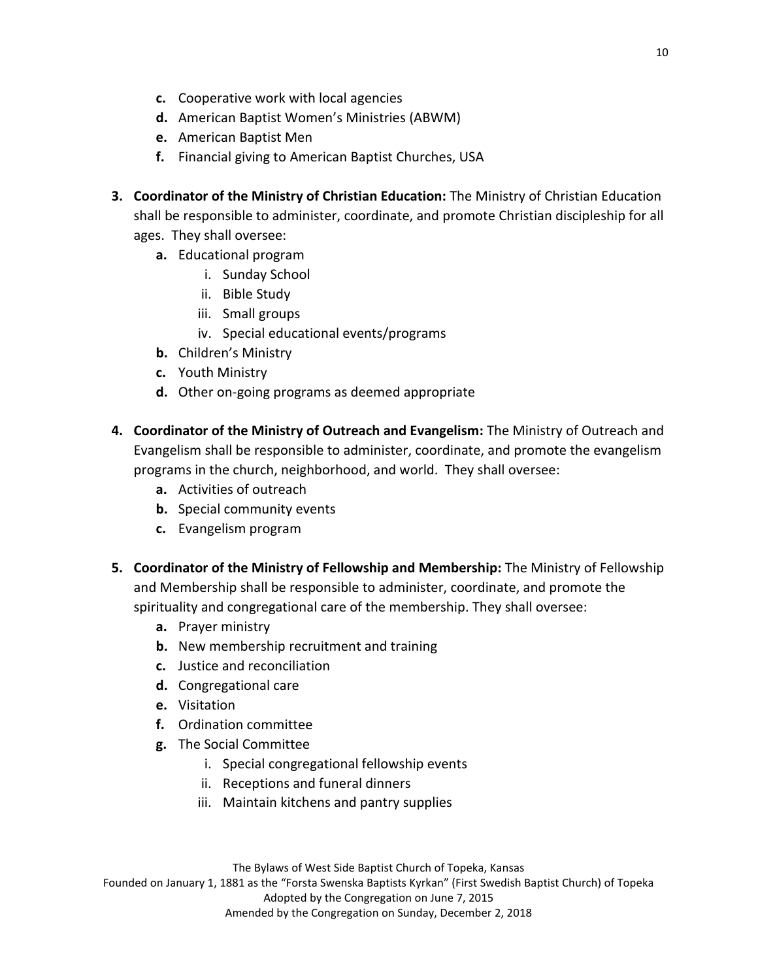- **c.** Cooperative work with local agencies
- **d.** American Baptist Women's Ministries (ABWM)
- **e.** American Baptist Men
- **f.** Financial giving to American Baptist Churches, USA
- **3. Coordinator of the Ministry of Christian Education:** The Ministry of Christian Education shall be responsible to administer, coordinate, and promote Christian discipleship for all ages. They shall oversee:
	- **a.** Educational program
		- i. Sunday School
		- ii. Bible Study
		- iii. Small groups
		- iv. Special educational events/programs
	- **b.** Children's Ministry
	- **c.** Youth Ministry
	- **d.** Other on-going programs as deemed appropriate
- **4. Coordinator of the Ministry of Outreach and Evangelism:** The Ministry of Outreach and Evangelism shall be responsible to administer, coordinate, and promote the evangelism programs in the church, neighborhood, and world. They shall oversee:
	- **a.** Activities of outreach
	- **b.** Special community events
	- **c.** Evangelism program
- **5. Coordinator of the Ministry of Fellowship and Membership:** The Ministry of Fellowship and Membership shall be responsible to administer, coordinate, and promote the spirituality and congregational care of the membership. They shall oversee:
	- **a.** Prayer ministry
	- **b.** New membership recruitment and training
	- **c.** Justice and reconciliation
	- **d.** Congregational care
	- **e.** Visitation
	- **f.** Ordination committee
	- **g.** The Social Committee
		- i. Special congregational fellowship events
		- ii. Receptions and funeral dinners
		- iii. Maintain kitchens and pantry supplies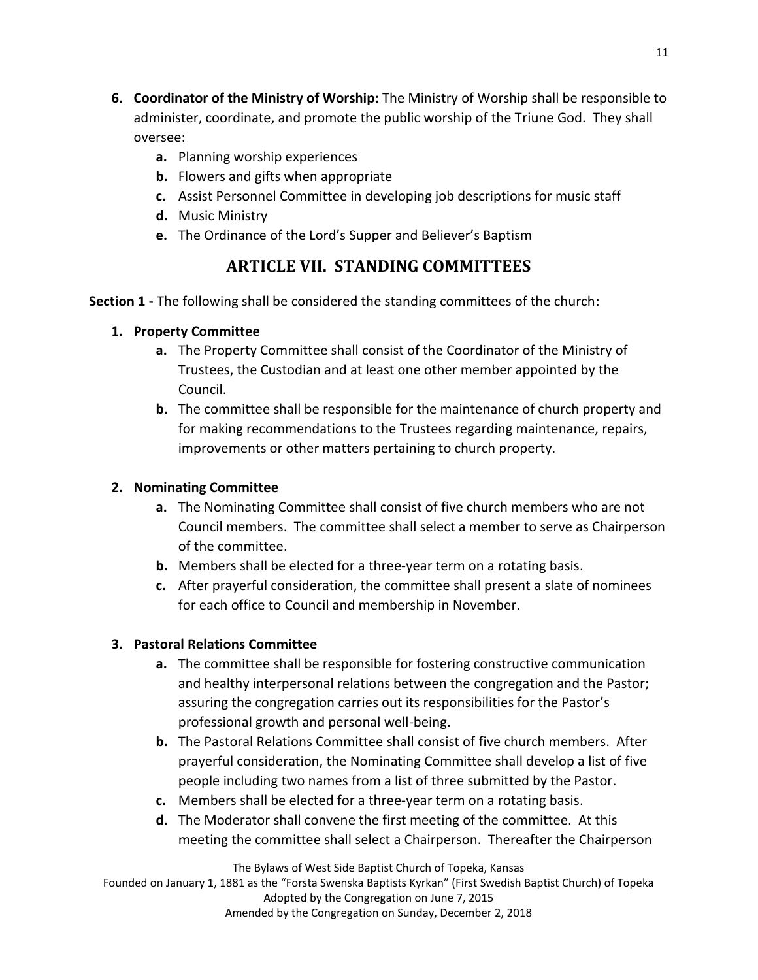- **6. Coordinator of the Ministry of Worship:** The Ministry of Worship shall be responsible to administer, coordinate, and promote the public worship of the Triune God. They shall oversee:
	- **a.** Planning worship experiences
	- **b.** Flowers and gifts when appropriate
	- **c.** Assist Personnel Committee in developing job descriptions for music staff
	- **d.** Music Ministry
	- **e.** The Ordinance of the Lord's Supper and Believer's Baptism

## **ARTICLE VII. STANDING COMMITTEES**

**Section 1 -** The following shall be considered the standing committees of the church:

### **1. Property Committee**

- **a.** The Property Committee shall consist of the Coordinator of the Ministry of Trustees, the Custodian and at least one other member appointed by the Council.
- **b.** The committee shall be responsible for the maintenance of church property and for making recommendations to the Trustees regarding maintenance, repairs, improvements or other matters pertaining to church property.

### **2. Nominating Committee**

- **a.** The Nominating Committee shall consist of five church members who are not Council members. The committee shall select a member to serve as Chairperson of the committee.
- **b.** Members shall be elected for a three-year term on a rotating basis.
- **c.** After prayerful consideration, the committee shall present a slate of nominees for each office to Council and membership in November.

### **3. Pastoral Relations Committee**

- **a.** The committee shall be responsible for fostering constructive communication and healthy interpersonal relations between the congregation and the Pastor; assuring the congregation carries out its responsibilities for the Pastor's professional growth and personal well-being.
- **b.** The Pastoral Relations Committee shall consist of five church members. After prayerful consideration, the Nominating Committee shall develop a list of five people including two names from a list of three submitted by the Pastor.
- **c.** Members shall be elected for a three-year term on a rotating basis.
- **d.** The Moderator shall convene the first meeting of the committee. At this meeting the committee shall select a Chairperson. Thereafter the Chairperson

The Bylaws of West Side Baptist Church of Topeka, Kansas

Founded on January 1, 1881 as the "Forsta Swenska Baptists Kyrkan" (First Swedish Baptist Church) of Topeka Adopted by the Congregation on June 7, 2015 Amended by the Congregation on Sunday, December 2, 2018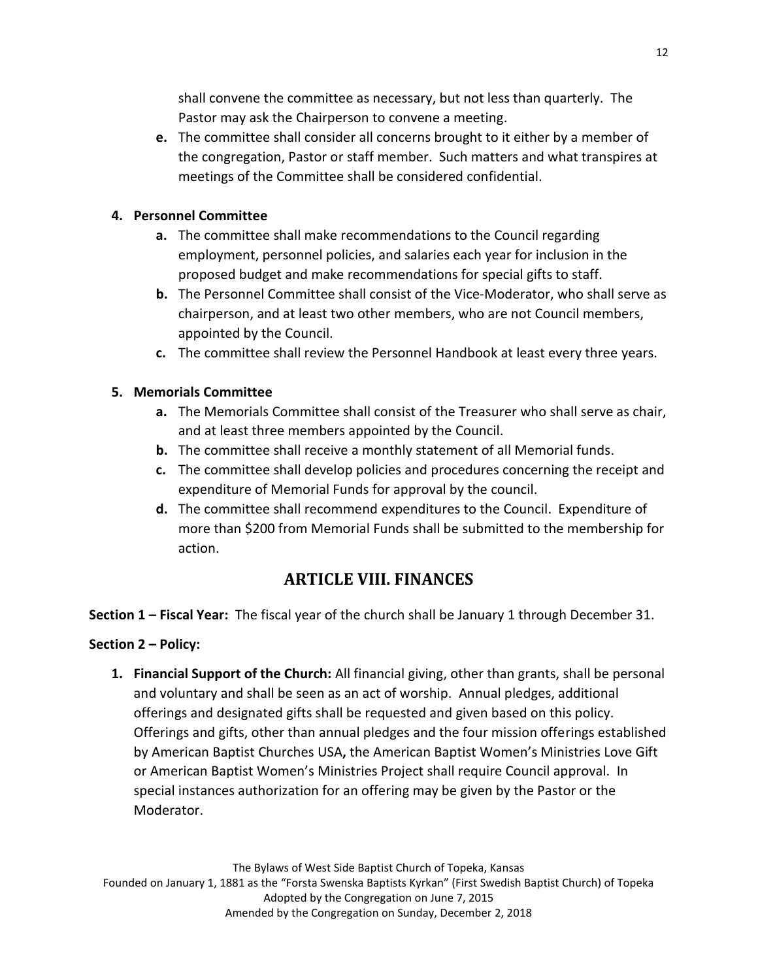shall convene the committee as necessary, but not less than quarterly. The Pastor may ask the Chairperson to convene a meeting.

**e.** The committee shall consider all concerns brought to it either by a member of the congregation, Pastor or staff member. Such matters and what transpires at meetings of the Committee shall be considered confidential.

### **4. Personnel Committee**

- **a.** The committee shall make recommendations to the Council regarding employment, personnel policies, and salaries each year for inclusion in the proposed budget and make recommendations for special gifts to staff.
- **b.** The Personnel Committee shall consist of the Vice-Moderator, who shall serve as chairperson, and at least two other members, who are not Council members, appointed by the Council.
- **c.** The committee shall review the Personnel Handbook at least every three years.

### **5. Memorials Committee**

- **a.** The Memorials Committee shall consist of the Treasurer who shall serve as chair, and at least three members appointed by the Council.
- **b.** The committee shall receive a monthly statement of all Memorial funds.
- **c.** The committee shall develop policies and procedures concerning the receipt and expenditure of Memorial Funds for approval by the council.
- **d.** The committee shall recommend expenditures to the Council. Expenditure of more than \$200 from Memorial Funds shall be submitted to the membership for action.

# **ARTICLE VIII. FINANCES**

**Section 1 – Fiscal Year:** The fiscal year of the church shall be January 1 through December 31.

### **Section 2 – Policy:**

**1. Financial Support of the Church:** All financial giving, other than grants, shall be personal and voluntary and shall be seen as an act of worship. Annual pledges, additional offerings and designated gifts shall be requested and given based on this policy. Offerings and gifts, other than annual pledges and the four mission offerings established by American Baptist Churches USA**,** the American Baptist Women's Ministries Love Gift or American Baptist Women's Ministries Project shall require Council approval. In special instances authorization for an offering may be given by the Pastor or the Moderator.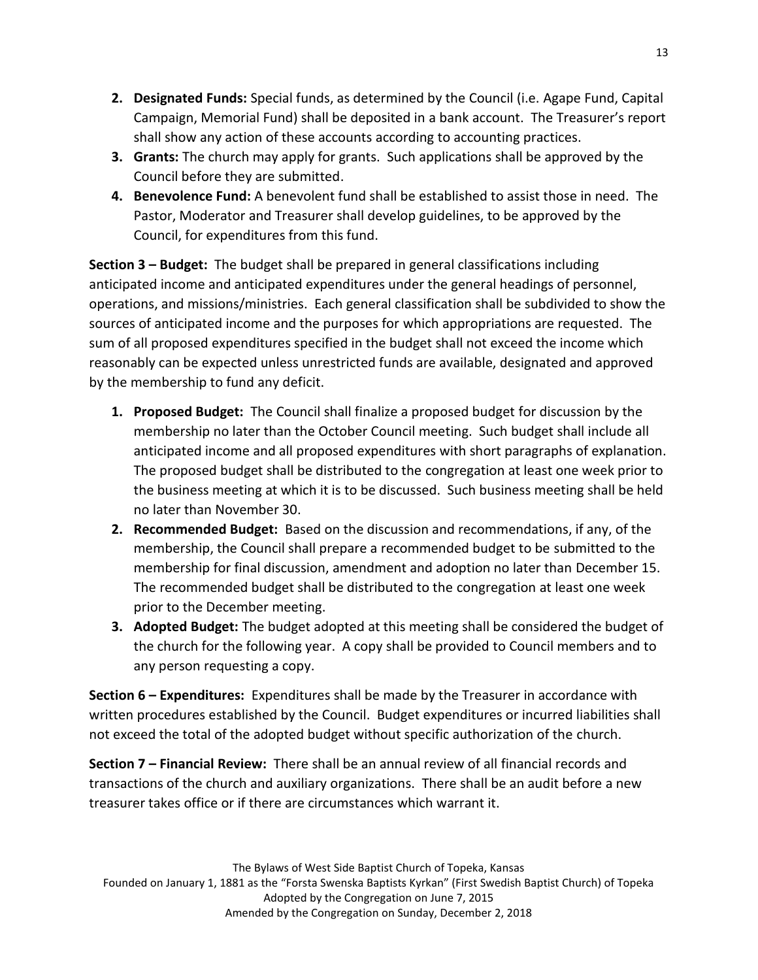- **2. Designated Funds:** Special funds, as determined by the Council (i.e. Agape Fund, Capital Campaign, Memorial Fund) shall be deposited in a bank account. The Treasurer's report shall show any action of these accounts according to accounting practices.
- **3. Grants:** The church may apply for grants. Such applications shall be approved by the Council before they are submitted.
- **4. Benevolence Fund:** A benevolent fund shall be established to assist those in need. The Pastor, Moderator and Treasurer shall develop guidelines, to be approved by the Council, for expenditures from this fund.

**Section 3 – Budget:** The budget shall be prepared in general classifications including anticipated income and anticipated expenditures under the general headings of personnel, operations, and missions/ministries. Each general classification shall be subdivided to show the sources of anticipated income and the purposes for which appropriations are requested. The sum of all proposed expenditures specified in the budget shall not exceed the income which reasonably can be expected unless unrestricted funds are available, designated and approved by the membership to fund any deficit.

- **1. Proposed Budget:** The Council shall finalize a proposed budget for discussion by the membership no later than the October Council meeting. Such budget shall include all anticipated income and all proposed expenditures with short paragraphs of explanation. The proposed budget shall be distributed to the congregation at least one week prior to the business meeting at which it is to be discussed. Such business meeting shall be held no later than November 30.
- **2. Recommended Budget:** Based on the discussion and recommendations, if any, of the membership, the Council shall prepare a recommended budget to be submitted to the membership for final discussion, amendment and adoption no later than December 15. The recommended budget shall be distributed to the congregation at least one week prior to the December meeting.
- **3. Adopted Budget:** The budget adopted at this meeting shall be considered the budget of the church for the following year. A copy shall be provided to Council members and to any person requesting a copy.

**Section 6 – Expenditures:** Expenditures shall be made by the Treasurer in accordance with written procedures established by the Council. Budget expenditures or incurred liabilities shall not exceed the total of the adopted budget without specific authorization of the church.

**Section 7 – Financial Review:** There shall be an annual review of all financial records and transactions of the church and auxiliary organizations. There shall be an audit before a new treasurer takes office or if there are circumstances which warrant it.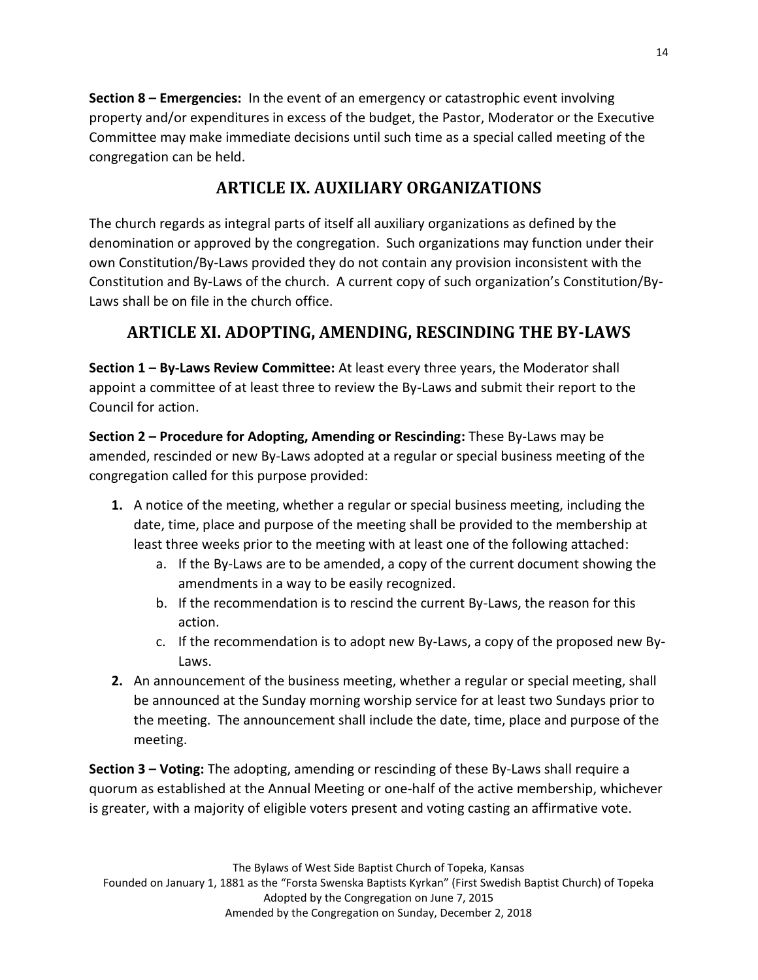**Section 8 – Emergencies:** In the event of an emergency or catastrophic event involving property and/or expenditures in excess of the budget, the Pastor, Moderator or the Executive Committee may make immediate decisions until such time as a special called meeting of the congregation can be held.

# **ARTICLE IX. AUXILIARY ORGANIZATIONS**

The church regards as integral parts of itself all auxiliary organizations as defined by the denomination or approved by the congregation. Such organizations may function under their own Constitution/By-Laws provided they do not contain any provision inconsistent with the Constitution and By-Laws of the church. A current copy of such organization's Constitution/By-Laws shall be on file in the church office.

# **ARTICLE XI. ADOPTING, AMENDING, RESCINDING THE BY-LAWS**

**Section 1 – By-Laws Review Committee:** At least every three years, the Moderator shall appoint a committee of at least three to review the By-Laws and submit their report to the Council for action.

**Section 2 – Procedure for Adopting, Amending or Rescinding:** These By-Laws may be amended, rescinded or new By-Laws adopted at a regular or special business meeting of the congregation called for this purpose provided:

- **1.** A notice of the meeting, whether a regular or special business meeting, including the date, time, place and purpose of the meeting shall be provided to the membership at least three weeks prior to the meeting with at least one of the following attached:
	- a. If the By-Laws are to be amended, a copy of the current document showing the amendments in a way to be easily recognized.
	- b. If the recommendation is to rescind the current By-Laws, the reason for this action.
	- c. If the recommendation is to adopt new By-Laws, a copy of the proposed new By-Laws.
- **2.** An announcement of the business meeting, whether a regular or special meeting, shall be announced at the Sunday morning worship service for at least two Sundays prior to the meeting. The announcement shall include the date, time, place and purpose of the meeting.

**Section 3 – Voting:** The adopting, amending or rescinding of these By-Laws shall require a quorum as established at the Annual Meeting or one-half of the active membership, whichever is greater, with a majority of eligible voters present and voting casting an affirmative vote.